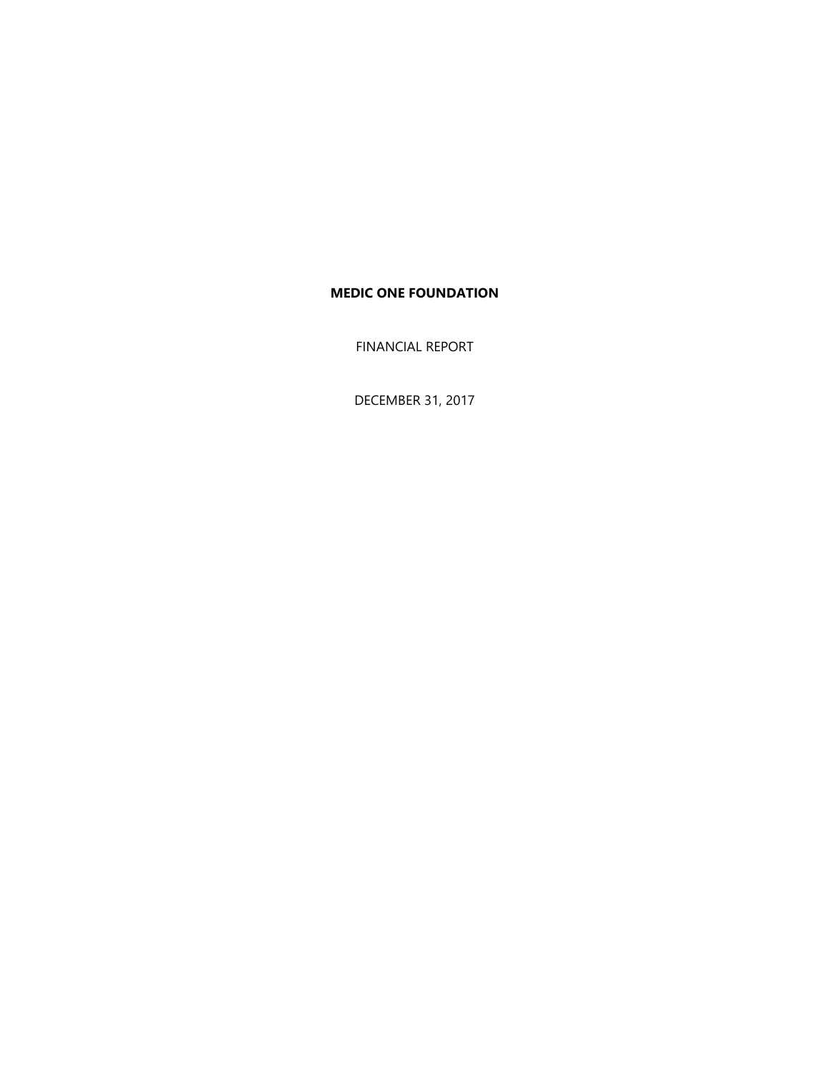FINANCIAL REPORT

DECEMBER 31, 2017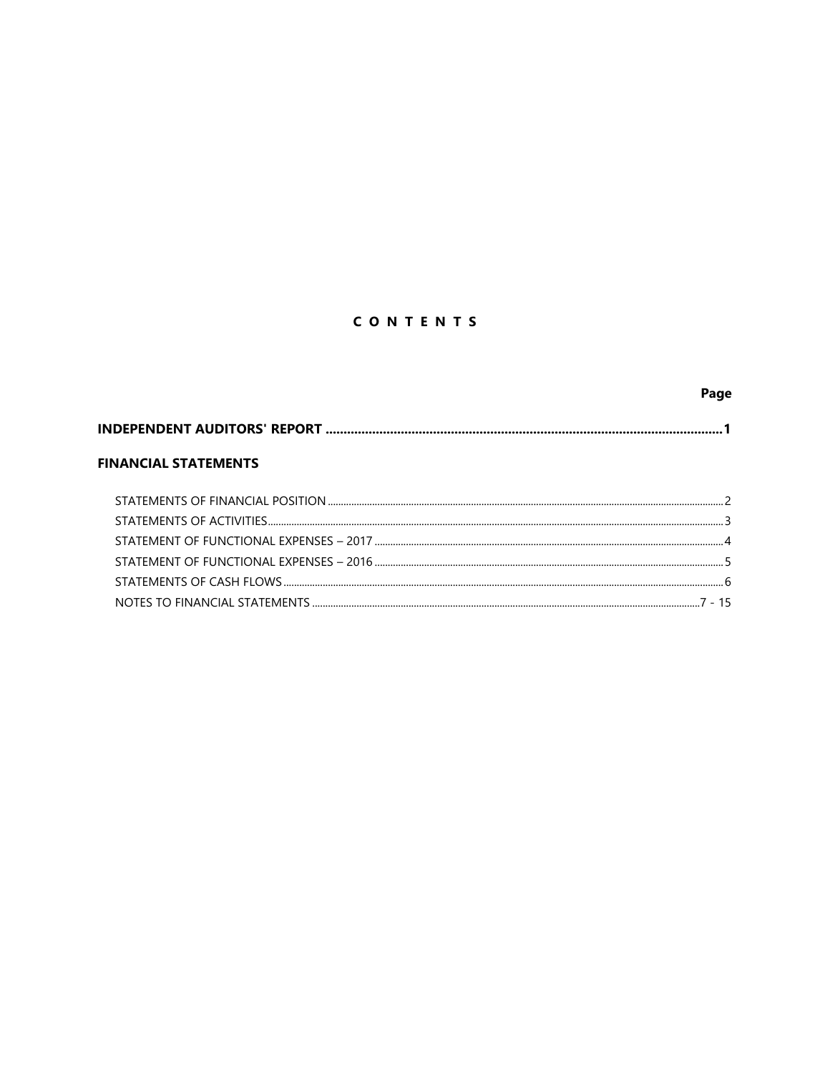# CONTENTS

|                             | Page     |
|-----------------------------|----------|
|                             |          |
| <b>FINANCIAL STATEMENTS</b> |          |
|                             |          |
|                             |          |
|                             |          |
|                             |          |
|                             |          |
|                             | $7 - 15$ |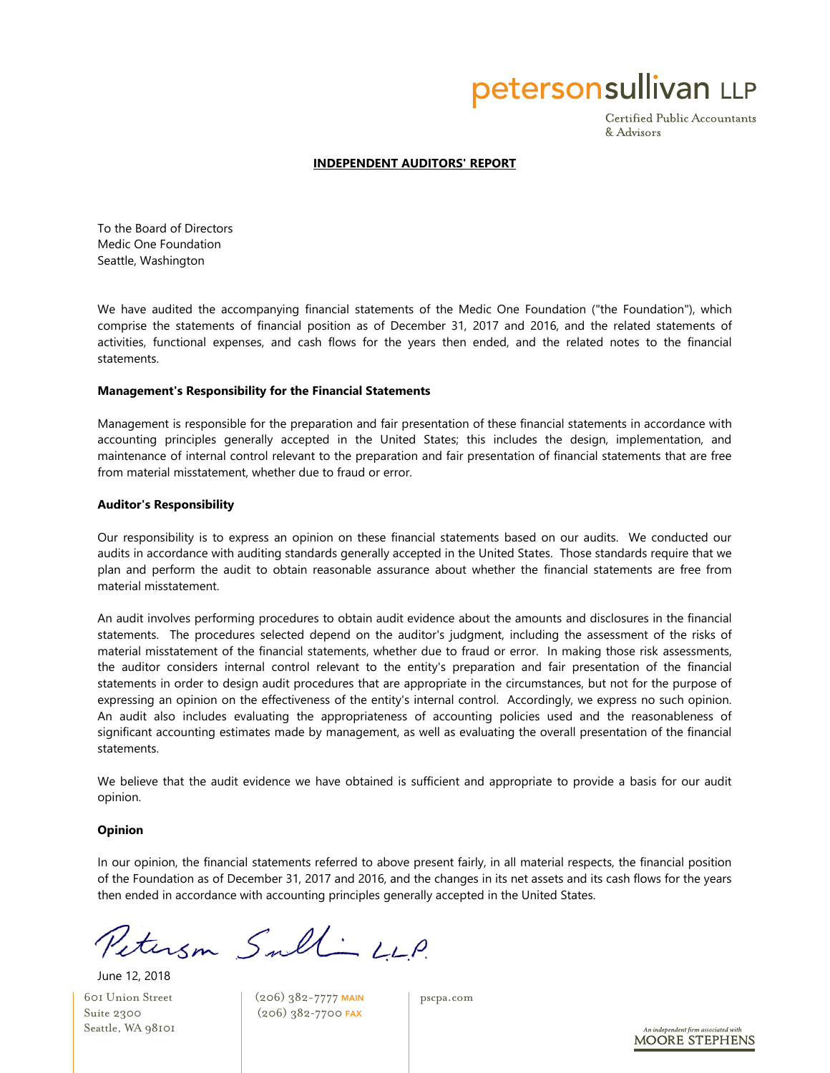petersonsullivan LLP

Certified Public Accountants & Advisors

#### **INDEPENDENT AUDITORS' REPORT**

To the Board of Directors Medic One Foundation Seattle, Washington

We have audited the accompanying financial statements of the Medic One Foundation ("the Foundation"), which comprise the statements of financial position as of December 31, 2017 and 2016, and the related statements of activities, functional expenses, and cash flows for the years then ended, and the related notes to the financial statements.

#### **Management's Responsibility for the Financial Statements**

Management is responsible for the preparation and fair presentation of these financial statements in accordance with accounting principles generally accepted in the United States; this includes the design, implementation, and maintenance of internal control relevant to the preparation and fair presentation of financial statements that are free from material misstatement, whether due to fraud or error.

#### **Auditor's Responsibility**

Our responsibility is to express an opinion on these financial statements based on our audits. We conducted our audits in accordance with auditing standards generally accepted in the United States. Those standards require that we plan and perform the audit to obtain reasonable assurance about whether the financial statements are free from material misstatement.

An audit involves performing procedures to obtain audit evidence about the amounts and disclosures in the financial statements. The procedures selected depend on the auditor's judgment, including the assessment of the risks of material misstatement of the financial statements, whether due to fraud or error. In making those risk assessments, the auditor considers internal control relevant to the entity's preparation and fair presentation of the financial statements in order to design audit procedures that are appropriate in the circumstances, but not for the purpose of expressing an opinion on the effectiveness of the entity's internal control. Accordingly, we express no such opinion. An audit also includes evaluating the appropriateness of accounting policies used and the reasonableness of significant accounting estimates made by management, as well as evaluating the overall presentation of the financial statements.

We believe that the audit evidence we have obtained is sufficient and appropriate to provide a basis for our audit opinion.

#### **Opinion**

In our opinion, the financial statements referred to above present fairly, in all material respects, the financial position of the Foundation as of December 31, 2017 and 2016, and the changes in its net assets and its cash flows for the years then ended in accordance with accounting principles generally accepted in the United States.

Peterson Sull-LLP.

601 Union Street Suite 2300 Seattle, WA 98101 June 12, 2018

(206) 382-7777 MAIN (206) 382-7700 FAX

pscpa.com

**MOORE STEPHENS**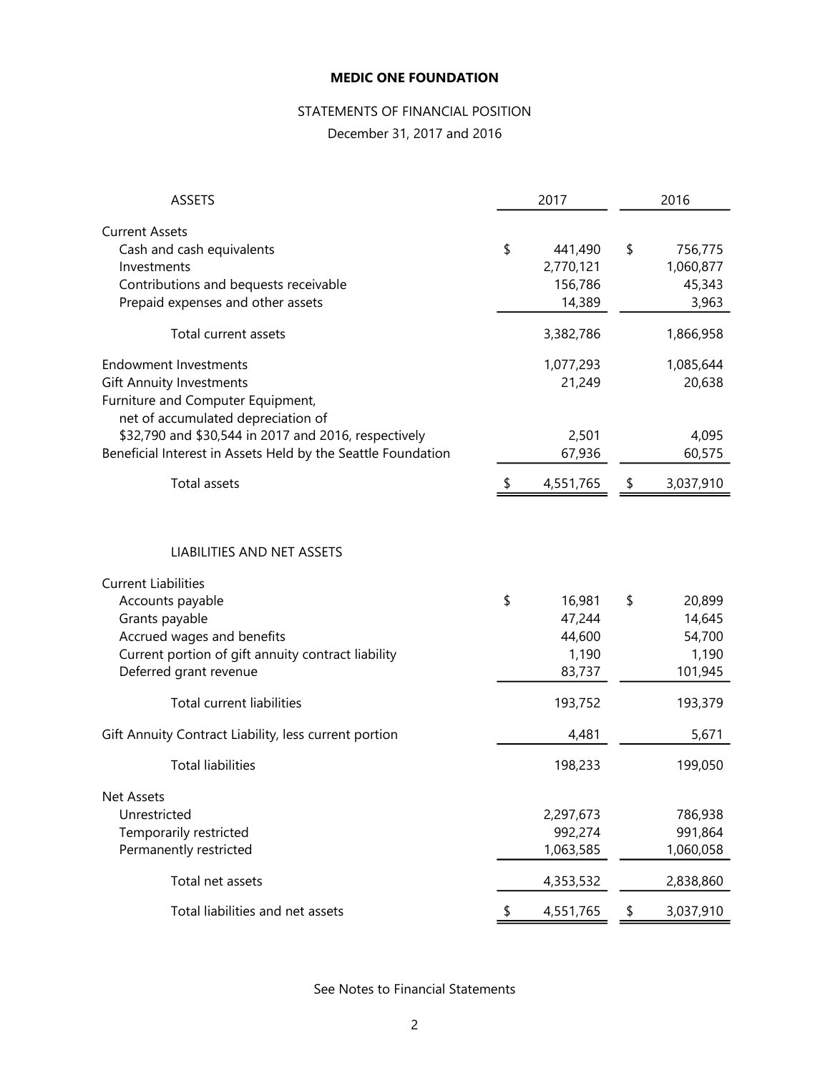# STATEMENTS OF FINANCIAL POSITION

December 31, 2017 and 2016

| 2017<br><b>ASSETS</b>                                                                                                                           |    |                                           | 2016 |                                         |  |  |
|-------------------------------------------------------------------------------------------------------------------------------------------------|----|-------------------------------------------|------|-----------------------------------------|--|--|
| <b>Current Assets</b><br>Cash and cash equivalents<br>Investments<br>Contributions and bequests receivable<br>Prepaid expenses and other assets | \$ | 441,490<br>2,770,121<br>156,786<br>14,389 | \$   | 756,775<br>1,060,877<br>45,343<br>3,963 |  |  |
| Total current assets                                                                                                                            |    | 3,382,786                                 |      | 1,866,958                               |  |  |
| <b>Endowment Investments</b><br><b>Gift Annuity Investments</b><br>Furniture and Computer Equipment,<br>net of accumulated depreciation of      |    | 1,077,293<br>21,249                       |      | 1,085,644<br>20,638                     |  |  |
| \$32,790 and \$30,544 in 2017 and 2016, respectively<br>Beneficial Interest in Assets Held by the Seattle Foundation                            |    | 2,501<br>67,936                           |      | 4,095<br>60,575                         |  |  |
| <b>Total assets</b>                                                                                                                             |    | 4,551,765                                 | \$   | 3,037,910                               |  |  |
| <b>LIABILITIES AND NET ASSETS</b>                                                                                                               |    |                                           |      |                                         |  |  |
| <b>Current Liabilities</b><br>Accounts payable                                                                                                  | \$ | 16,981                                    | \$   | 20,899                                  |  |  |
| Grants payable<br>Accrued wages and benefits<br>Current portion of gift annuity contract liability<br>Deferred grant revenue                    |    | 47,244<br>44,600<br>1,190<br>83,737       |      | 14,645<br>54,700<br>1,190<br>101,945    |  |  |
| <b>Total current liabilities</b>                                                                                                                |    | 193,752                                   |      | 193,379                                 |  |  |
| Gift Annuity Contract Liability, less current portion                                                                                           |    | 4,481                                     |      | 5,671                                   |  |  |
| <b>Total liabilities</b>                                                                                                                        |    | 198,233                                   |      | 199,050                                 |  |  |
| Net Assets<br>Unrestricted<br>Temporarily restricted<br>Permanently restricted                                                                  |    | 2,297,673<br>992,274<br>1,063,585         |      | 786,938<br>991,864<br>1,060,058         |  |  |
| Total net assets                                                                                                                                |    | 4,353,532                                 |      | 2,838,860                               |  |  |
| Total liabilities and net assets                                                                                                                | \$ | 4,551,765                                 | \$   | 3,037,910                               |  |  |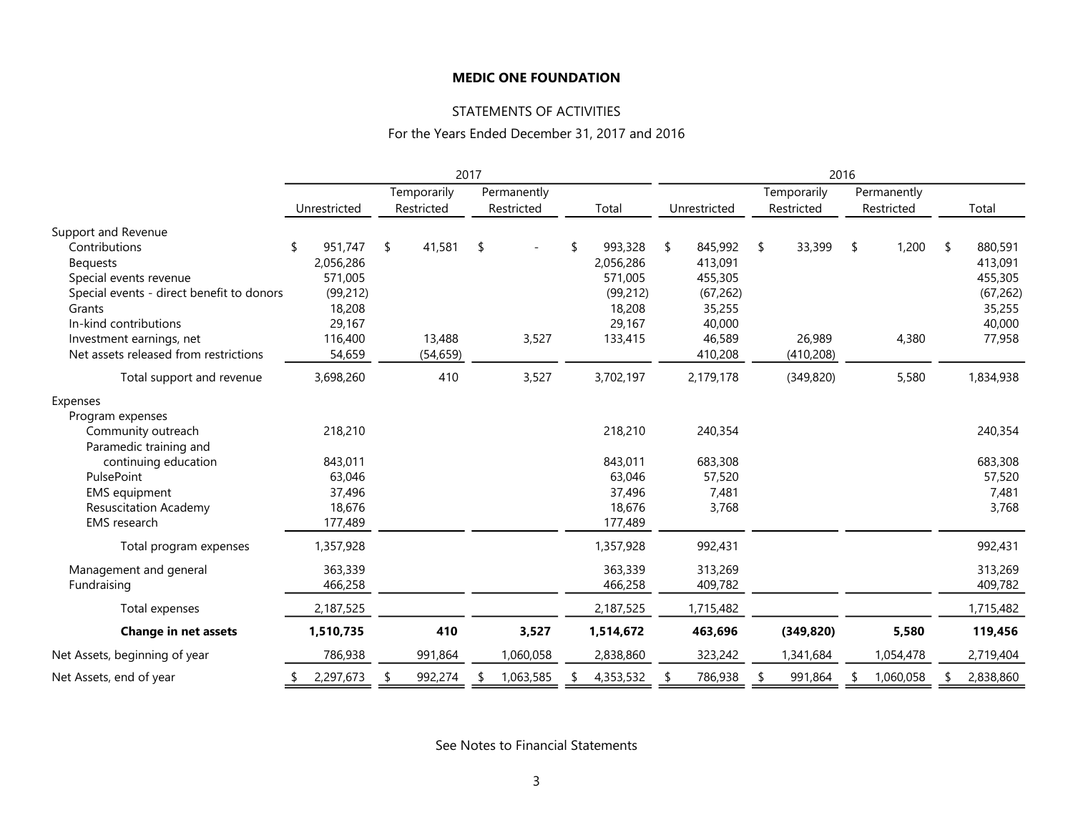## STATEMENTS OF ACTIVITIES

### For the Years Ended December 31, 2017 and 2016

|                                           | 2017         |    |             |    |             |  |           | 2016 |              |    |             |    |             |     |           |
|-------------------------------------------|--------------|----|-------------|----|-------------|--|-----------|------|--------------|----|-------------|----|-------------|-----|-----------|
|                                           |              |    | Temporarily |    | Permanently |  |           |      |              |    | Temporarily |    | Permanently |     |           |
|                                           | Unrestricted |    | Restricted  |    | Restricted  |  | Total     |      | Unrestricted |    | Restricted  |    | Restricted  |     | Total     |
| Support and Revenue                       |              |    |             |    |             |  |           |      |              |    |             |    |             |     |           |
| Contributions                             | 951,747      | \$ | 41,581      | \$ |             |  | 993,328   | \$   | 845,992      | \$ | 33,399      | \$ | 1,200       | -\$ | 880,591   |
| <b>Bequests</b>                           | 2,056,286    |    |             |    |             |  | 2,056,286 |      | 413,091      |    |             |    |             |     | 413,091   |
| Special events revenue                    | 571,005      |    |             |    |             |  | 571,005   |      | 455,305      |    |             |    |             |     | 455,305   |
| Special events - direct benefit to donors | (99, 212)    |    |             |    |             |  | (99, 212) |      | (67, 262)    |    |             |    |             |     | (67, 262) |
| Grants                                    | 18,208       |    |             |    |             |  | 18,208    |      | 35,255       |    |             |    |             |     | 35,255    |
| In-kind contributions                     | 29,167       |    |             |    |             |  | 29,167    |      | 40,000       |    |             |    |             |     | 40,000    |
| Investment earnings, net                  | 116,400      |    | 13,488      |    | 3,527       |  | 133,415   |      | 46,589       |    | 26,989      |    | 4,380       |     | 77,958    |
| Net assets released from restrictions     | 54,659       |    | (54, 659)   |    |             |  |           |      | 410,208      |    | (410, 208)  |    |             |     |           |
| Total support and revenue                 | 3,698,260    |    | 410         |    | 3,527       |  | 3,702,197 |      | 2,179,178    |    | (349, 820)  |    | 5,580       |     | 1,834,938 |
| Expenses                                  |              |    |             |    |             |  |           |      |              |    |             |    |             |     |           |
| Program expenses                          |              |    |             |    |             |  |           |      |              |    |             |    |             |     |           |
| Community outreach                        | 218,210      |    |             |    |             |  | 218,210   |      | 240,354      |    |             |    |             |     | 240,354   |
| Paramedic training and                    |              |    |             |    |             |  |           |      |              |    |             |    |             |     |           |
| continuing education                      | 843,011      |    |             |    |             |  | 843,011   |      | 683,308      |    |             |    |             |     | 683,308   |
| PulsePoint                                | 63,046       |    |             |    |             |  | 63,046    |      | 57,520       |    |             |    |             |     | 57,520    |
| <b>EMS</b> equipment                      | 37,496       |    |             |    |             |  | 37,496    |      | 7,481        |    |             |    |             |     | 7,481     |
| <b>Resuscitation Academy</b>              | 18,676       |    |             |    |             |  | 18,676    |      | 3,768        |    |             |    |             |     | 3,768     |
| <b>EMS</b> research                       | 177,489      |    |             |    |             |  | 177,489   |      |              |    |             |    |             |     |           |
| Total program expenses                    | 1,357,928    |    |             |    |             |  | 1,357,928 |      | 992,431      |    |             |    |             |     | 992,431   |
| Management and general                    | 363,339      |    |             |    |             |  | 363,339   |      | 313,269      |    |             |    |             |     | 313,269   |
| Fundraising                               | 466,258      |    |             |    |             |  | 466,258   |      | 409,782      |    |             |    |             |     | 409,782   |
| Total expenses                            | 2,187,525    |    |             |    |             |  | 2,187,525 |      | 1,715,482    |    |             |    |             |     | 1,715,482 |
| <b>Change in net assets</b>               | 1,510,735    |    | 410         |    | 3,527       |  | 1,514,672 |      | 463,696      |    | (349, 820)  |    | 5,580       |     | 119,456   |
| Net Assets, beginning of year             | 786,938      |    | 991,864     |    | 1,060,058   |  | 2,838,860 |      | 323,242      |    | 1,341,684   |    | 1,054,478   |     | 2,719,404 |
| Net Assets, end of year                   | 2,297,673    |    | 992,274     |    | 1,063,585   |  | 4,353,532 |      | 786,938      |    | 991,864     |    | 1,060,058   |     | 2,838,860 |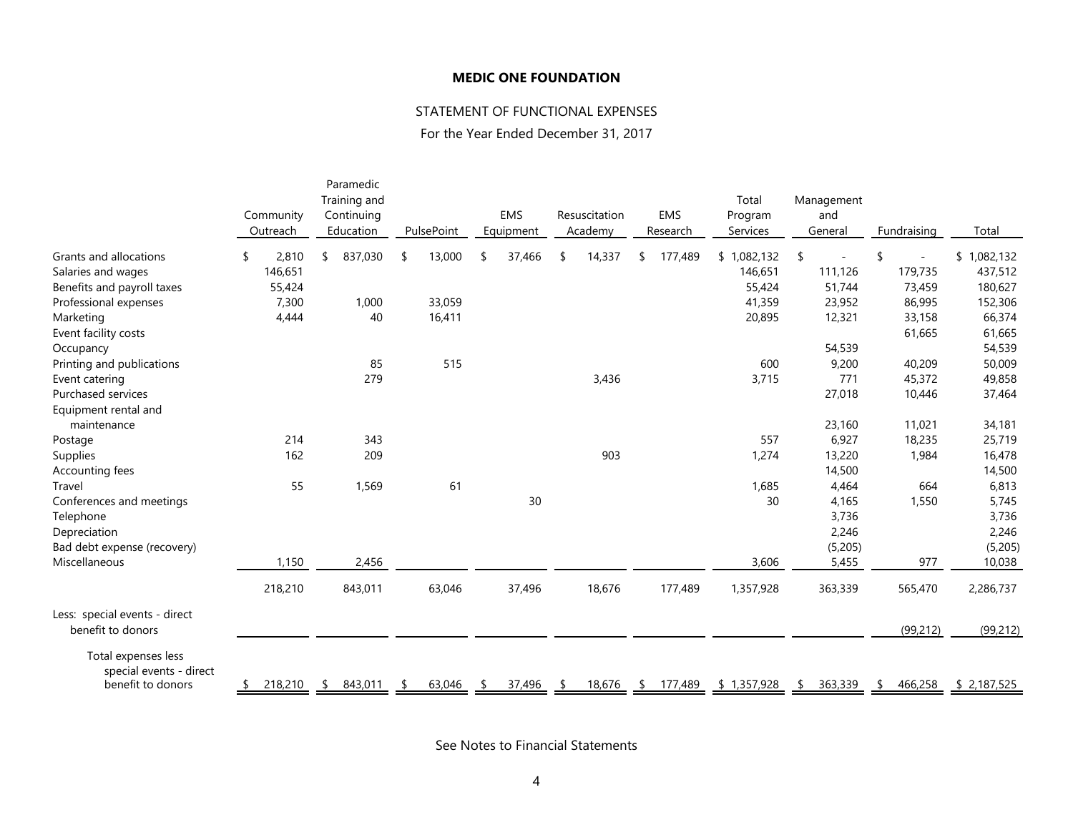### STATEMENT OF FUNCTIONAL EXPENSES

For the Year Ended December 31, 2017

|                                                                     | Community<br>Outreach | Training and<br>Continuing<br>Education | PulsePoint    | <b>EMS</b><br>Equipment | Resuscitation<br>Academy | <b>EMS</b><br>Research | Total<br>Program<br>Services | Management<br>and<br>General | Fundraising | Total        |
|---------------------------------------------------------------------|-----------------------|-----------------------------------------|---------------|-------------------------|--------------------------|------------------------|------------------------------|------------------------------|-------------|--------------|
| Grants and allocations                                              | 2,810<br>\$           | 837,030<br>\$                           | 13,000<br>-\$ | 37,466<br>\$.           | 14,337                   | 177,489<br>\$          | \$1,082,132                  | \$                           |             | \$1,082,132  |
| Salaries and wages                                                  | 146,651               |                                         |               |                         |                          |                        | 146,651                      | 111,126                      | 179,735     | 437,512      |
| Benefits and payroll taxes                                          | 55,424                |                                         |               |                         |                          |                        | 55,424                       | 51,744                       | 73,459      | 180,627      |
| Professional expenses                                               | 7,300                 | 1,000                                   | 33,059        |                         |                          |                        | 41,359                       | 23,952                       | 86,995      | 152,306      |
| Marketing                                                           | 4,444                 | 40                                      | 16,411        |                         |                          |                        | 20,895                       | 12,321                       | 33,158      | 66,374       |
| Event facility costs                                                |                       |                                         |               |                         |                          |                        |                              |                              | 61,665      | 61,665       |
| Occupancy                                                           |                       |                                         |               |                         |                          |                        |                              | 54,539                       |             | 54,539       |
| Printing and publications                                           |                       | 85                                      | 515           |                         |                          |                        | 600                          | 9,200                        | 40,209      | 50,009       |
| Event catering                                                      |                       | 279                                     |               |                         | 3,436                    |                        | 3,715                        | 771                          | 45,372      | 49,858       |
| Purchased services                                                  |                       |                                         |               |                         |                          |                        |                              | 27,018                       | 10,446      | 37,464       |
| Equipment rental and<br>maintenance                                 |                       |                                         |               |                         |                          |                        |                              | 23,160                       | 11,021      | 34,181       |
| Postage                                                             | 214                   | 343                                     |               |                         |                          |                        | 557                          | 6,927                        | 18,235      | 25,719       |
| Supplies                                                            | 162                   | 209                                     |               |                         | 903                      |                        | 1,274                        | 13,220                       | 1,984       | 16,478       |
| Accounting fees                                                     |                       |                                         |               |                         |                          |                        |                              | 14,500                       |             | 14,500       |
| Travel                                                              | 55                    | 1,569                                   | 61            |                         |                          |                        | 1,685                        | 4,464                        | 664         | 6,813        |
| Conferences and meetings                                            |                       |                                         |               | 30                      |                          |                        | 30                           | 4,165                        | 1,550       | 5,745        |
| Telephone                                                           |                       |                                         |               |                         |                          |                        |                              | 3,736                        |             | 3,736        |
| Depreciation                                                        |                       |                                         |               |                         |                          |                        |                              | 2,246                        |             | 2,246        |
| Bad debt expense (recovery)                                         |                       |                                         |               |                         |                          |                        |                              | (5,205)                      |             | (5,205)      |
| Miscellaneous                                                       | 1,150                 | 2,456                                   |               |                         |                          |                        | 3,606                        | 5,455                        | 977         | 10,038       |
|                                                                     |                       |                                         |               |                         |                          |                        |                              |                              |             |              |
|                                                                     | 218,210               | 843,011                                 | 63,046        | 37,496                  | 18,676                   | 177,489                | 1,357,928                    | 363,339                      | 565,470     | 2,286,737    |
| Less: special events - direct<br>benefit to donors                  |                       |                                         |               |                         |                          |                        |                              |                              | (99, 212)   | (99, 212)    |
| Total expenses less<br>special events - direct<br>benefit to donors | 218,210               | 843,011<br>- \$                         | 63,046        | 37,496                  | 18,676                   | 177,489<br>-S          | \$1,357,928                  | 363,339<br>\$                | 466,258     | \$ 2,187,525 |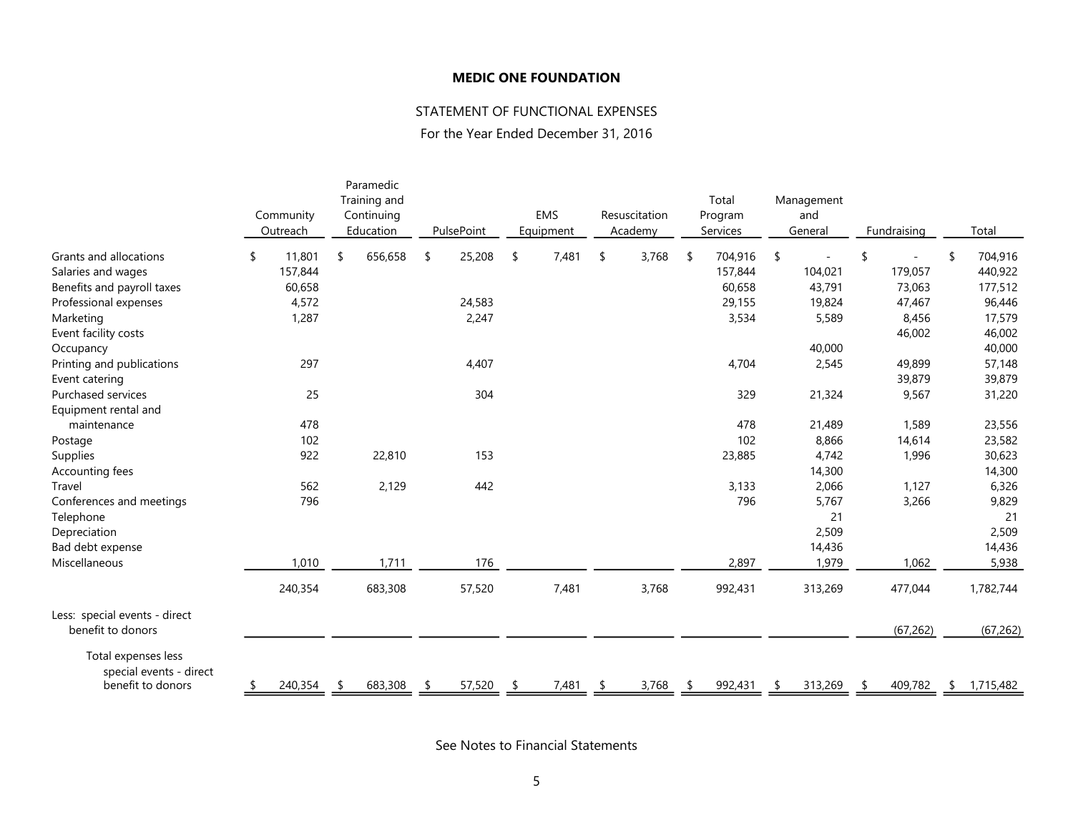## STATEMENT OF FUNCTIONAL EXPENSES

For the Year Ended December 31, 2016

|                                                                     | Community<br>Outreach | Paramedic<br>Training and<br>Continuing<br>Education |    | PulsePoint |    | EMS<br>Equipment | Resuscitation<br>Academy |    | Total<br>Program<br>Services |    | Management<br>and<br>General | Fundraising   |    | Total     |
|---------------------------------------------------------------------|-----------------------|------------------------------------------------------|----|------------|----|------------------|--------------------------|----|------------------------------|----|------------------------------|---------------|----|-----------|
| <b>Grants and allocations</b>                                       | \$<br>11,801          | \$<br>656,658                                        | \$ | 25,208     | -S | 7,481            | \$<br>3,768              | -S | 704,916                      | \$ |                              | \$            | \$ | 704,916   |
| Salaries and wages                                                  | 157,844               |                                                      |    |            |    |                  |                          |    | 157,844                      |    | 104,021                      | 179,057       |    | 440,922   |
| Benefits and payroll taxes                                          | 60,658                |                                                      |    |            |    |                  |                          |    | 60,658                       |    | 43,791                       | 73,063        |    | 177,512   |
| Professional expenses                                               | 4,572                 |                                                      |    | 24,583     |    |                  |                          |    | 29,155                       |    | 19,824                       | 47,467        |    | 96,446    |
| Marketing                                                           | 1,287                 |                                                      |    | 2,247      |    |                  |                          |    | 3,534                        |    | 5,589                        | 8,456         |    | 17,579    |
| Event facility costs                                                |                       |                                                      |    |            |    |                  |                          |    |                              |    |                              | 46,002        |    | 46,002    |
| Occupancy                                                           |                       |                                                      |    |            |    |                  |                          |    |                              |    | 40,000                       |               |    | 40,000    |
| Printing and publications                                           | 297                   |                                                      |    | 4,407      |    |                  |                          |    | 4,704                        |    | 2,545                        | 49,899        |    | 57,148    |
| Event catering                                                      |                       |                                                      |    |            |    |                  |                          |    |                              |    |                              | 39,879        |    | 39,879    |
| <b>Purchased services</b>                                           | 25                    |                                                      |    | 304        |    |                  |                          |    | 329                          |    | 21,324                       | 9,567         |    | 31,220    |
| Equipment rental and                                                |                       |                                                      |    |            |    |                  |                          |    |                              |    |                              |               |    |           |
| maintenance                                                         | 478                   |                                                      |    |            |    |                  |                          |    | 478                          |    | 21,489                       | 1,589         |    | 23,556    |
| Postage                                                             | 102                   |                                                      |    |            |    |                  |                          |    | 102                          |    | 8,866                        | 14,614        |    | 23,582    |
| Supplies                                                            | 922                   | 22,810                                               |    | 153        |    |                  |                          |    | 23,885                       |    | 4,742                        | 1,996         |    | 30,623    |
| Accounting fees                                                     |                       |                                                      |    |            |    |                  |                          |    |                              |    | 14,300                       |               |    | 14,300    |
| Travel                                                              | 562                   | 2,129                                                |    | 442        |    |                  |                          |    | 3,133                        |    | 2,066                        | 1,127         |    | 6,326     |
| Conferences and meetings                                            | 796                   |                                                      |    |            |    |                  |                          |    | 796                          |    | 5,767                        | 3,266         |    | 9,829     |
| Telephone                                                           |                       |                                                      |    |            |    |                  |                          |    |                              |    | 21                           |               |    | 21        |
| Depreciation                                                        |                       |                                                      |    |            |    |                  |                          |    |                              |    | 2,509                        |               |    | 2,509     |
| Bad debt expense                                                    |                       |                                                      |    |            |    |                  |                          |    |                              |    | 14,436                       |               |    | 14,436    |
| Miscellaneous                                                       | 1,010                 | 1,711                                                |    | 176        |    |                  |                          |    | 2,897                        |    | 1,979                        | 1,062         |    | 5,938     |
|                                                                     | 240,354               | 683,308                                              |    | 57,520     |    | 7,481            | 3,768                    |    | 992,431                      |    | 313,269                      | 477,044       |    | 1,782,744 |
| Less: special events - direct<br>benefit to donors                  |                       |                                                      |    |            |    |                  |                          |    |                              |    |                              | (67, 262)     |    | (67, 262) |
| Total expenses less<br>special events - direct<br>benefit to donors | \$<br>240,354         | 683,308                                              | -5 | 57,520     |    | 7,481            | 3,768                    |    | 992,431                      | S  | 313,269                      | \$<br>409,782 | S. | 1,715,482 |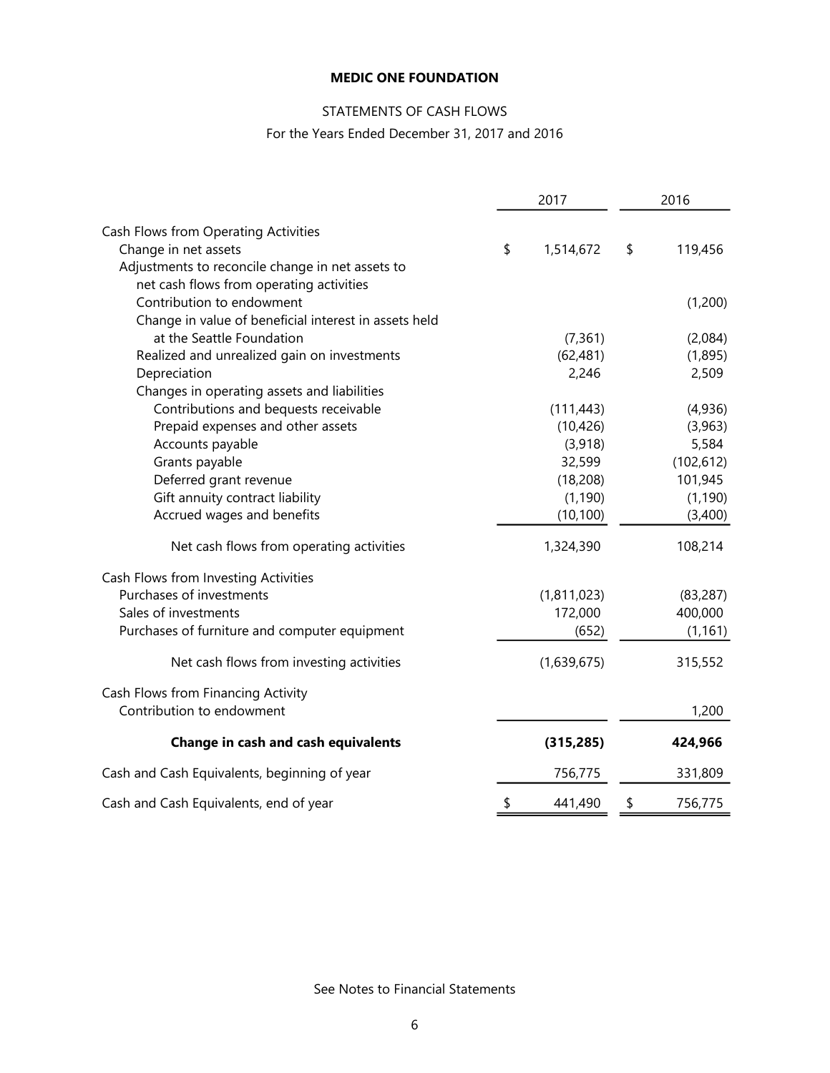# STATEMENTS OF CASH FLOWS

For the Years Ended December 31, 2017 and 2016

|                                                       | 2017            | 2016 |            |  |  |
|-------------------------------------------------------|-----------------|------|------------|--|--|
| Cash Flows from Operating Activities                  |                 |      |            |  |  |
| Change in net assets                                  | \$<br>1,514,672 | \$   | 119,456    |  |  |
| Adjustments to reconcile change in net assets to      |                 |      |            |  |  |
| net cash flows from operating activities              |                 |      |            |  |  |
| Contribution to endowment                             |                 |      | (1,200)    |  |  |
| Change in value of beneficial interest in assets held |                 |      |            |  |  |
| at the Seattle Foundation                             | (7, 361)        |      | (2,084)    |  |  |
| Realized and unrealized gain on investments           | (62, 481)       |      | (1,895)    |  |  |
| Depreciation                                          | 2,246           |      | 2,509      |  |  |
| Changes in operating assets and liabilities           |                 |      |            |  |  |
| Contributions and bequests receivable                 | (111, 443)      |      | (4,936)    |  |  |
| Prepaid expenses and other assets                     | (10, 426)       |      | (3,963)    |  |  |
| Accounts payable                                      | (3,918)         |      | 5,584      |  |  |
| Grants payable                                        | 32,599          |      | (102, 612) |  |  |
| Deferred grant revenue                                | (18, 208)       |      | 101,945    |  |  |
| Gift annuity contract liability                       | (1, 190)        |      | (1, 190)   |  |  |
| Accrued wages and benefits                            | (10, 100)       |      | (3,400)    |  |  |
| Net cash flows from operating activities              | 1,324,390       |      | 108,214    |  |  |
| Cash Flows from Investing Activities                  |                 |      |            |  |  |
| Purchases of investments                              | (1,811,023)     |      | (83, 287)  |  |  |
| Sales of investments                                  | 172,000         |      | 400,000    |  |  |
| Purchases of furniture and computer equipment         | (652)           |      | (1, 161)   |  |  |
| Net cash flows from investing activities              | (1,639,675)     |      | 315,552    |  |  |
| Cash Flows from Financing Activity                    |                 |      |            |  |  |
| Contribution to endowment                             |                 |      | 1,200      |  |  |
| <b>Change in cash and cash equivalents</b>            | (315, 285)      |      | 424,966    |  |  |
| Cash and Cash Equivalents, beginning of year          | 756,775         |      | 331,809    |  |  |
| Cash and Cash Equivalents, end of year                | \$<br>441,490   | \$   | 756,775    |  |  |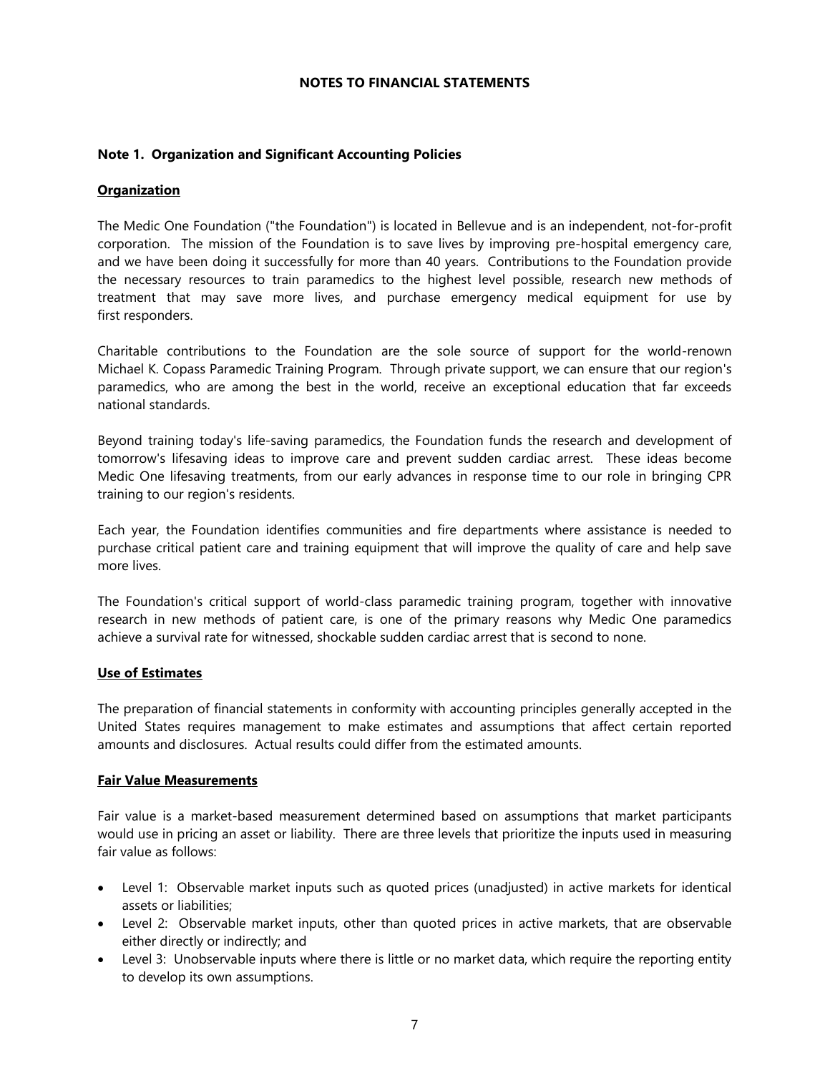### **NOTES TO FINANCIAL STATEMENTS**

### **Note 1. Organization and Significant Accounting Policies**

#### **Organization**

The Medic One Foundation ("the Foundation") is located in Bellevue and is an independent, not-for-profit corporation. The mission of the Foundation is to save lives by improving pre-hospital emergency care, and we have been doing it successfully for more than 40 years. Contributions to the Foundation provide the necessary resources to train paramedics to the highest level possible, research new methods of treatment that may save more lives, and purchase emergency medical equipment for use by first responders.

Charitable contributions to the Foundation are the sole source of support for the world-renown Michael K. Copass Paramedic Training Program. Through private support, we can ensure that our region's paramedics, who are among the best in the world, receive an exceptional education that far exceeds national standards.

Beyond training today's life-saving paramedics, the Foundation funds the research and development of tomorrow's lifesaving ideas to improve care and prevent sudden cardiac arrest. These ideas become Medic One lifesaving treatments, from our early advances in response time to our role in bringing CPR training to our region's residents.

Each year, the Foundation identifies communities and fire departments where assistance is needed to purchase critical patient care and training equipment that will improve the quality of care and help save more lives.

The Foundation's critical support of world-class paramedic training program, together with innovative research in new methods of patient care, is one of the primary reasons why Medic One paramedics achieve a survival rate for witnessed, shockable sudden cardiac arrest that is second to none.

#### **Use of Estimates**

The preparation of financial statements in conformity with accounting principles generally accepted in the United States requires management to make estimates and assumptions that affect certain reported amounts and disclosures. Actual results could differ from the estimated amounts.

#### **Fair Value Measurements**

Fair value is a market-based measurement determined based on assumptions that market participants would use in pricing an asset or liability. There are three levels that prioritize the inputs used in measuring fair value as follows:

- Level 1: Observable market inputs such as quoted prices (unadjusted) in active markets for identical assets or liabilities;
- Level 2: Observable market inputs, other than quoted prices in active markets, that are observable either directly or indirectly; and
- Level 3: Unobservable inputs where there is little or no market data, which require the reporting entity to develop its own assumptions.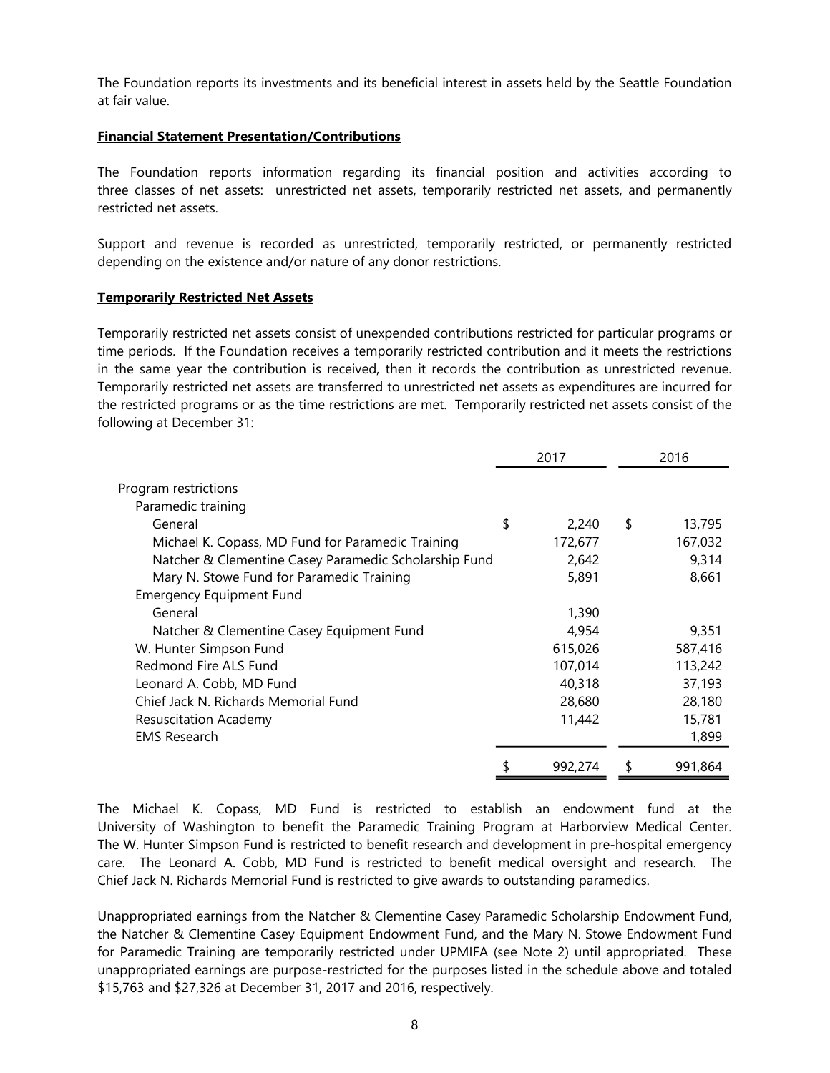The Foundation reports its investments and its beneficial interest in assets held by the Seattle Foundation at fair value.

### **Financial Statement Presentation/Contributions**

The Foundation reports information regarding its financial position and activities according to three classes of net assets: unrestricted net assets, temporarily restricted net assets, and permanently restricted net assets.

Support and revenue is recorded as unrestricted, temporarily restricted, or permanently restricted depending on the existence and/or nature of any donor restrictions.

### **Temporarily Restricted Net Assets**

Temporarily restricted net assets consist of unexpended contributions restricted for particular programs or time periods. If the Foundation receives a temporarily restricted contribution and it meets the restrictions in the same year the contribution is received, then it records the contribution as unrestricted revenue. Temporarily restricted net assets are transferred to unrestricted net assets as expenditures are incurred for the restricted programs or as the time restrictions are met. Temporarily restricted net assets consist of the following at December 31:

|                                                       | 2017          | 2016          |
|-------------------------------------------------------|---------------|---------------|
| Program restrictions                                  |               |               |
| Paramedic training                                    |               |               |
| General                                               | \$<br>2,240   | \$<br>13,795  |
| Michael K. Copass, MD Fund for Paramedic Training     | 172,677       | 167,032       |
| Natcher & Clementine Casey Paramedic Scholarship Fund | 2,642         | 9,314         |
| Mary N. Stowe Fund for Paramedic Training             | 5,891         | 8,661         |
| <b>Emergency Equipment Fund</b>                       |               |               |
| General                                               | 1,390         |               |
| Natcher & Clementine Casey Equipment Fund             | 4,954         | 9,351         |
| W. Hunter Simpson Fund                                | 615,026       | 587,416       |
| Redmond Fire ALS Fund                                 | 107,014       | 113,242       |
| Leonard A. Cobb, MD Fund                              | 40,318        | 37,193        |
| Chief Jack N. Richards Memorial Fund                  | 28,680        | 28,180        |
| <b>Resuscitation Academy</b>                          | 11,442        | 15,781        |
| <b>EMS Research</b>                                   |               | 1,899         |
|                                                       | \$<br>992,274 | \$<br>991,864 |

The Michael K. Copass, MD Fund is restricted to establish an endowment fund at the University of Washington to benefit the Paramedic Training Program at Harborview Medical Center. The W. Hunter Simpson Fund is restricted to benefit research and development in pre-hospital emergency care. The Leonard A. Cobb, MD Fund is restricted to benefit medical oversight and research. The Chief Jack N. Richards Memorial Fund is restricted to give awards to outstanding paramedics.

Unappropriated earnings from the Natcher & Clementine Casey Paramedic Scholarship Endowment Fund, the Natcher & Clementine Casey Equipment Endowment Fund, and the Mary N. Stowe Endowment Fund for Paramedic Training are temporarily restricted under UPMIFA (see Note 2) until appropriated. These unappropriated earnings are purpose-restricted for the purposes listed in the schedule above and totaled \$15,763 and \$27,326 at December 31, 2017 and 2016, respectively.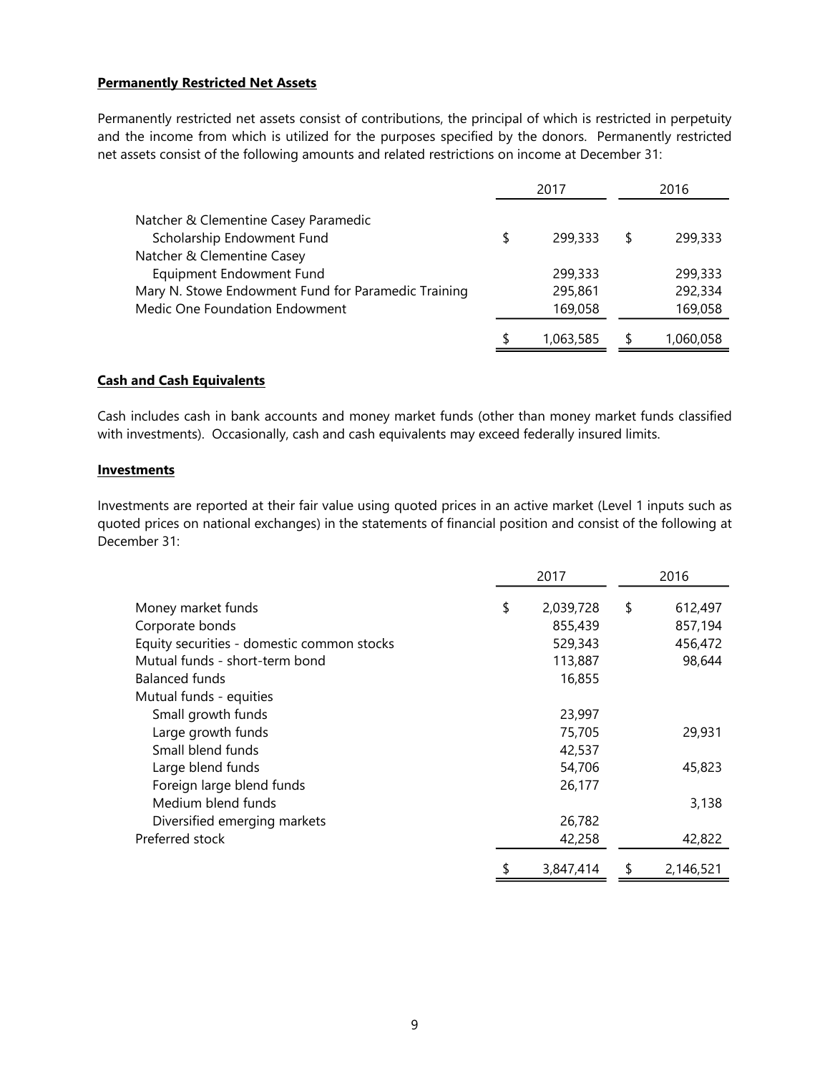### **Permanently Restricted Net Assets**

Permanently restricted net assets consist of contributions, the principal of which is restricted in perpetuity and the income from which is utilized for the purposes specified by the donors. Permanently restricted net assets consist of the following amounts and related restrictions on income at December 31:

|                                                     | 2017          | 2016      |
|-----------------------------------------------------|---------------|-----------|
| Natcher & Clementine Casey Paramedic                |               |           |
| Scholarship Endowment Fund                          | \$<br>299,333 | 299,333   |
| Natcher & Clementine Casey                          |               |           |
| Equipment Endowment Fund                            | 299,333       | 299,333   |
| Mary N. Stowe Endowment Fund for Paramedic Training | 295,861       | 292,334   |
| Medic One Foundation Endowment                      | 169,058       | 169,058   |
|                                                     | 1,063,585     | 1,060,058 |

### **Cash and Cash Equivalents**

Cash includes cash in bank accounts and money market funds (other than money market funds classified with investments). Occasionally, cash and cash equivalents may exceed federally insured limits.

#### **Investments**

Investments are reported at their fair value using quoted prices in an active market (Level 1 inputs such as quoted prices on national exchanges) in the statements of financial position and consist of the following at December 31:

|                                            | 2017            |    | 2016      |
|--------------------------------------------|-----------------|----|-----------|
| Money market funds                         | \$<br>2,039,728 | \$ | 612,497   |
| Corporate bonds                            | 855,439         |    | 857,194   |
| Equity securities - domestic common stocks | 529,343         |    | 456,472   |
| Mutual funds - short-term bond             | 113,887         |    | 98,644    |
| Balanced funds                             | 16,855          |    |           |
| Mutual funds - equities                    |                 |    |           |
| Small growth funds                         | 23,997          |    |           |
| Large growth funds                         | 75,705          |    | 29,931    |
| Small blend funds                          | 42,537          |    |           |
| Large blend funds                          | 54,706          |    | 45,823    |
| Foreign large blend funds                  | 26,177          |    |           |
| Medium blend funds                         |                 |    | 3,138     |
| Diversified emerging markets               | 26,782          |    |           |
| Preferred stock                            | 42,258          |    | 42,822    |
|                                            | 3,847,414       | S  | 2,146,521 |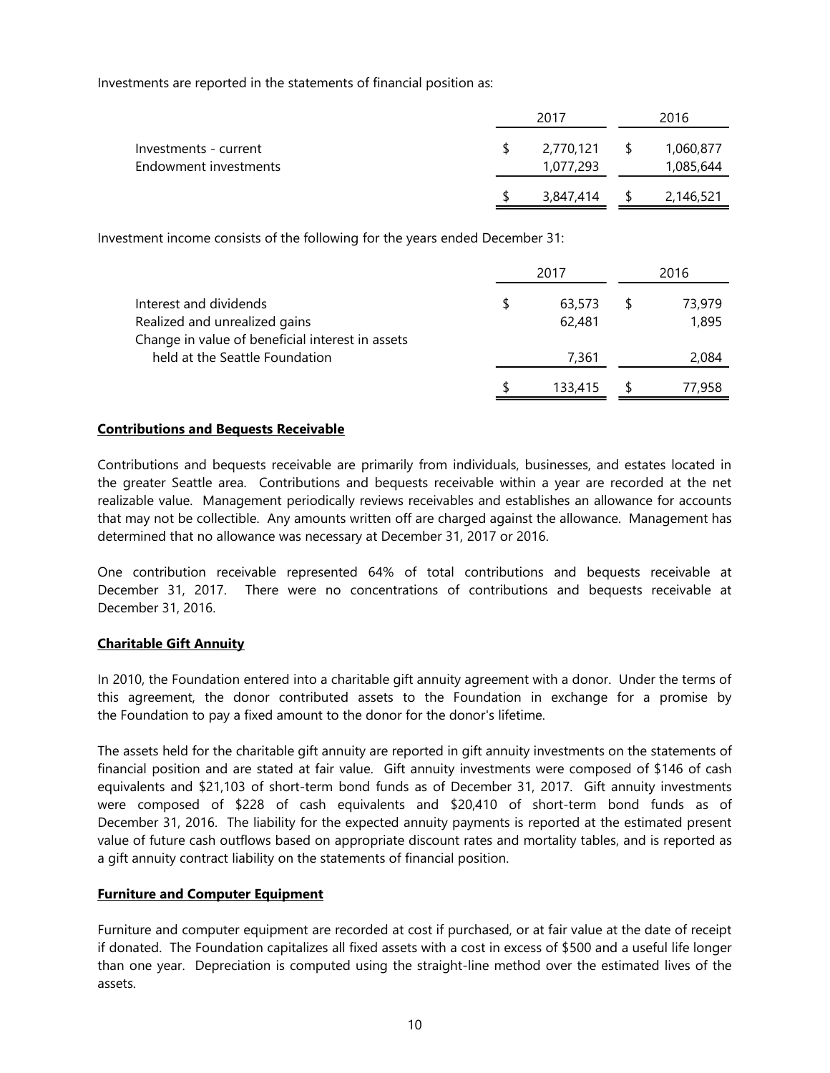Investments are reported in the statements of financial position as:

|                                                |              |                        | 2016          |                        |  |  |
|------------------------------------------------|--------------|------------------------|---------------|------------------------|--|--|
| Investments - current<br>Endowment investments |              | 2,770,121<br>1,077,293 | $\sim$ 5      | 1,060,877<br>1,085,644 |  |  |
|                                                | <sup>S</sup> | 3,847,414              | $\mathcal{S}$ | 2,146,521              |  |  |

Investment income consists of the following for the years ended December 31:

|                                                  | 2017    | 2016   |
|--------------------------------------------------|---------|--------|
| Interest and dividends                           | 63,573  | 73,979 |
| Realized and unrealized gains                    | 62,481  | 1,895  |
| Change in value of beneficial interest in assets |         |        |
| held at the Seattle Foundation                   | 7.361   | 2,084  |
|                                                  | 133.415 | 77,958 |

### **Contributions and Bequests Receivable**

Contributions and bequests receivable are primarily from individuals, businesses, and estates located in the greater Seattle area. Contributions and bequests receivable within a year are recorded at the net realizable value. Management periodically reviews receivables and establishes an allowance for accounts that may not be collectible. Any amounts written off are charged against the allowance. Management has determined that no allowance was necessary at December 31, 2017 or 2016.

One contribution receivable represented 64% of total contributions and bequests receivable at December 31, 2017. There were no concentrations of contributions and bequests receivable at December 31, 2016.

## **Charitable Gift Annuity**

In 2010, the Foundation entered into a charitable gift annuity agreement with a donor. Under the terms of this agreement, the donor contributed assets to the Foundation in exchange for a promise by the Foundation to pay a fixed amount to the donor for the donor's lifetime.

The assets held for the charitable gift annuity are reported in gift annuity investments on the statements of financial position and are stated at fair value. Gift annuity investments were composed of \$146 of cash equivalents and \$21,103 of short-term bond funds as of December 31, 2017. Gift annuity investments were composed of \$228 of cash equivalents and \$20,410 of short-term bond funds as of December 31, 2016. The liability for the expected annuity payments is reported at the estimated present value of future cash outflows based on appropriate discount rates and mortality tables, and is reported as a gift annuity contract liability on the statements of financial position.

## **Furniture and Computer Equipment**

Furniture and computer equipment are recorded at cost if purchased, or at fair value at the date of receipt if donated. The Foundation capitalizes all fixed assets with a cost in excess of \$500 and a useful life longer than one year. Depreciation is computed using the straight-line method over the estimated lives of the assets.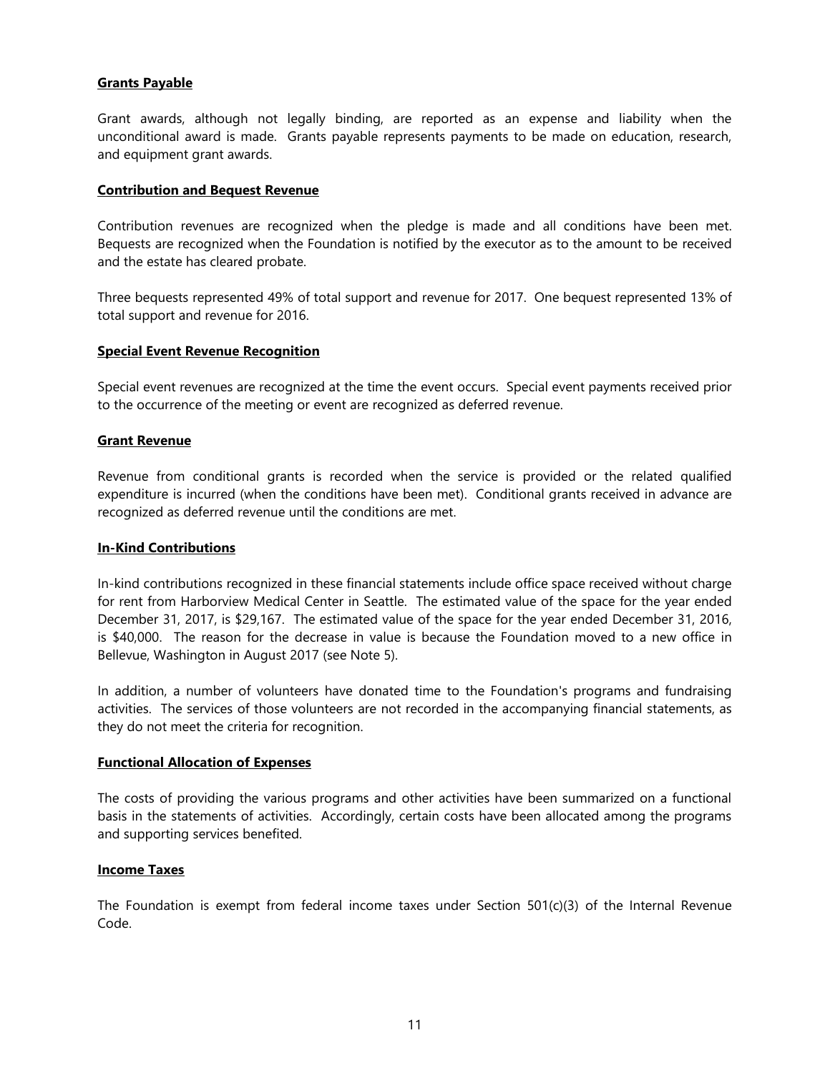## **Grants Payable**

Grant awards, although not legally binding, are reported as an expense and liability when the unconditional award is made. Grants payable represents payments to be made on education, research, and equipment grant awards.

#### **Contribution and Bequest Revenue**

Contribution revenues are recognized when the pledge is made and all conditions have been met. Bequests are recognized when the Foundation is notified by the executor as to the amount to be received and the estate has cleared probate.

Three bequests represented 49% of total support and revenue for 2017. One bequest represented 13% of total support and revenue for 2016.

### **Special Event Revenue Recognition**

Special event revenues are recognized at the time the event occurs. Special event payments received prior to the occurrence of the meeting or event are recognized as deferred revenue.

### **Grant Revenue**

Revenue from conditional grants is recorded when the service is provided or the related qualified expenditure is incurred (when the conditions have been met). Conditional grants received in advance are recognized as deferred revenue until the conditions are met.

#### **In-Kind Contributions**

In-kind contributions recognized in these financial statements include office space received without charge for rent from Harborview Medical Center in Seattle. The estimated value of the space for the year ended December 31, 2017, is \$29,167. The estimated value of the space for the year ended December 31, 2016, is \$40,000. The reason for the decrease in value is because the Foundation moved to a new office in Bellevue, Washington in August 2017 (see Note 5).

In addition, a number of volunteers have donated time to the Foundation's programs and fundraising activities. The services of those volunteers are not recorded in the accompanying financial statements, as they do not meet the criteria for recognition.

#### **Functional Allocation of Expenses**

The costs of providing the various programs and other activities have been summarized on a functional basis in the statements of activities. Accordingly, certain costs have been allocated among the programs and supporting services benefited.

## **Income Taxes**

The Foundation is exempt from federal income taxes under Section  $501(c)(3)$  of the Internal Revenue Code.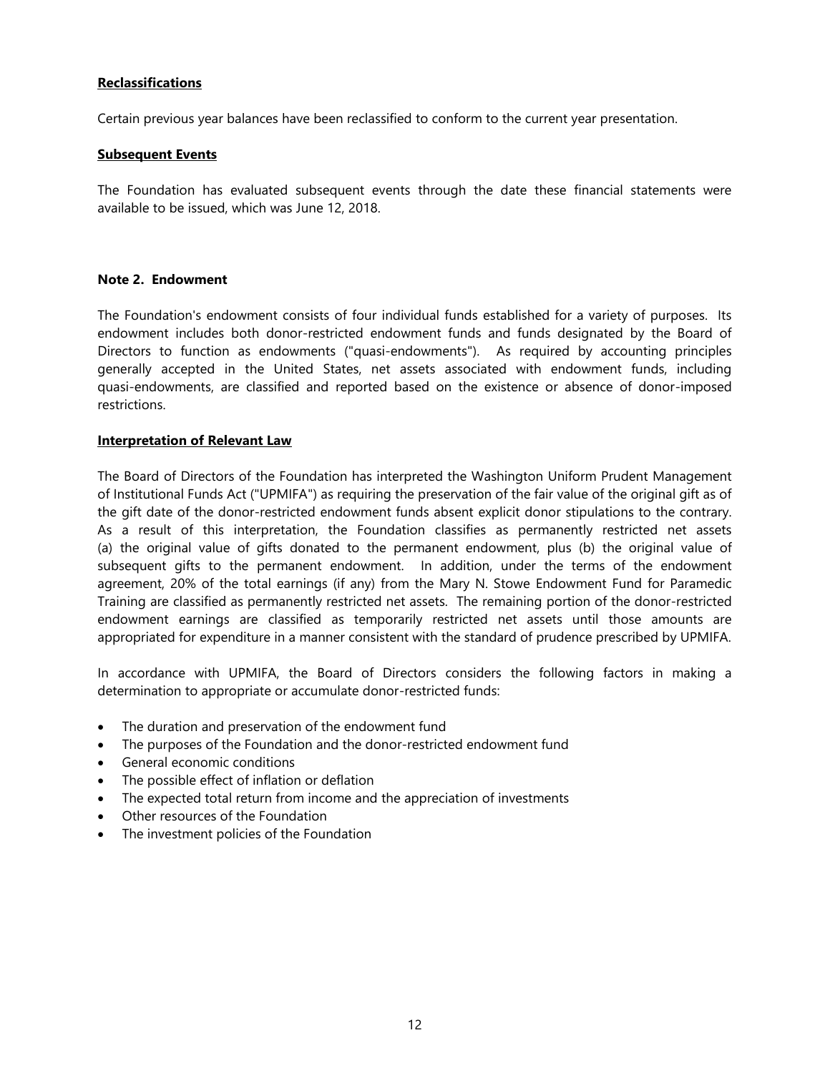## **Reclassifications**

Certain previous year balances have been reclassified to conform to the current year presentation.

### **Subsequent Events**

The Foundation has evaluated subsequent events through the date these financial statements were available to be issued, which was June 12, 2018.

### **Note 2. Endowment**

The Foundation's endowment consists of four individual funds established for a variety of purposes. Its endowment includes both donor-restricted endowment funds and funds designated by the Board of Directors to function as endowments ("quasi-endowments"). As required by accounting principles generally accepted in the United States, net assets associated with endowment funds, including quasi-endowments, are classified and reported based on the existence or absence of donor-imposed restrictions.

### **Interpretation of Relevant Law**

The Board of Directors of the Foundation has interpreted the Washington Uniform Prudent Management of Institutional Funds Act ("UPMIFA") as requiring the preservation of the fair value of the original gift as of the gift date of the donor-restricted endowment funds absent explicit donor stipulations to the contrary. As a result of this interpretation, the Foundation classifies as permanently restricted net assets (a) the original value of gifts donated to the permanent endowment, plus (b) the original value of subsequent gifts to the permanent endowment. In addition, under the terms of the endowment agreement, 20% of the total earnings (if any) from the Mary N. Stowe Endowment Fund for Paramedic Training are classified as permanently restricted net assets. The remaining portion of the donor-restricted endowment earnings are classified as temporarily restricted net assets until those amounts are appropriated for expenditure in a manner consistent with the standard of prudence prescribed by UPMIFA.

In accordance with UPMIFA, the Board of Directors considers the following factors in making a determination to appropriate or accumulate donor-restricted funds:

- The duration and preservation of the endowment fund
- The purposes of the Foundation and the donor-restricted endowment fund
- General economic conditions
- The possible effect of inflation or deflation
- The expected total return from income and the appreciation of investments
- Other resources of the Foundation
- The investment policies of the Foundation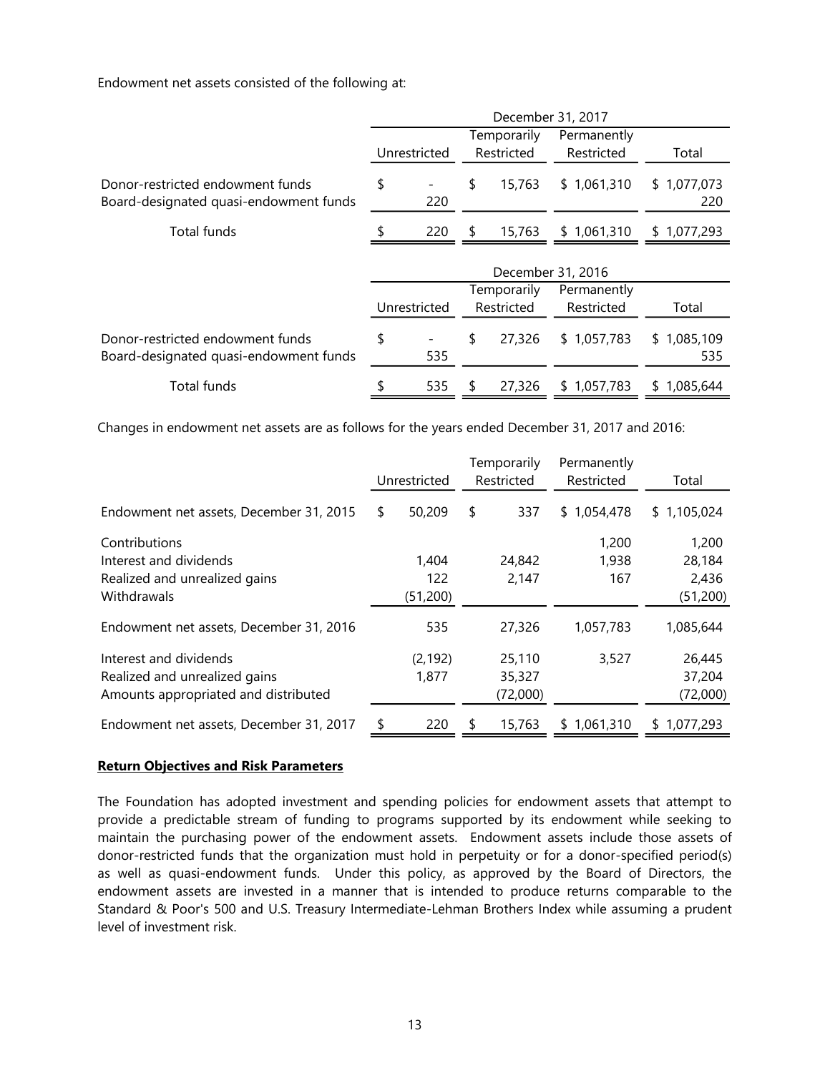Endowment net assets consisted of the following at:

|                                                                            | December 31, 2017 |              |            |             |             |                    |  |  |  |  |  |  |
|----------------------------------------------------------------------------|-------------------|--------------|------------|-------------|-------------|--------------------|--|--|--|--|--|--|
|                                                                            |                   |              |            | Temporarily | Permanently |                    |  |  |  |  |  |  |
|                                                                            |                   | Unrestricted | Restricted |             | Restricted  | Total              |  |  |  |  |  |  |
| Donor-restricted endowment funds<br>Board-designated quasi-endowment funds | \$                | 220          | \$         | 15,763      | \$1,061,310 | \$1,077,073<br>220 |  |  |  |  |  |  |
| Total funds                                                                |                   | 220          | \$         | 15,763      | \$1,061,310 | \$1,077,293        |  |  |  |  |  |  |
|                                                                            | December 31, 2016 |              |            |             |             |                    |  |  |  |  |  |  |
|                                                                            |                   |              |            | Temporarily | Permanently |                    |  |  |  |  |  |  |
|                                                                            |                   | Unrestricted |            | Restricted  | Restricted  | Total              |  |  |  |  |  |  |
| Donor-restricted endowment funds<br>Board-designated quasi-endowment funds | \$                | 535          | \$         | 27,326      | \$1,057,783 | \$1,085,109<br>535 |  |  |  |  |  |  |
| Total funds                                                                |                   | 535          | S          | 27,326      | \$1,057,783 | \$1,085,644        |  |  |  |  |  |  |

Changes in endowment net assets are as follows for the years ended December 31, 2017 and 2016:

|                                         | Unrestricted | Temporarily<br>Restricted | Permanently<br>Restricted | Total       |
|-----------------------------------------|--------------|---------------------------|---------------------------|-------------|
| Endowment net assets, December 31, 2015 | \$<br>50,209 | \$<br>337                 | 1,054,478<br>\$           | \$1,105,024 |
| Contributions                           |              |                           | 1,200                     | 1,200       |
| Interest and dividends                  | 1,404        | 24,842                    | 1,938                     | 28,184      |
| Realized and unrealized gains           | 122          | 2,147                     | 167                       | 2,436       |
| Withdrawals                             | (51, 200)    |                           |                           | (51, 200)   |
| Endowment net assets, December 31, 2016 | 535          | 27,326                    | 1,057,783                 | 1,085,644   |
| Interest and dividends                  | (2, 192)     | 25,110                    | 3,527                     | 26,445      |
| Realized and unrealized gains           | 1,877        | 35,327                    |                           | 37,204      |
| Amounts appropriated and distributed    |              | (72,000)                  |                           | (72,000)    |
| Endowment net assets, December 31, 2017 | \$<br>220    | \$<br>15,763              | \$1,061,310               | \$1,077,293 |

#### **Return Objectives and Risk Parameters**

The Foundation has adopted investment and spending policies for endowment assets that attempt to provide a predictable stream of funding to programs supported by its endowment while seeking to maintain the purchasing power of the endowment assets. Endowment assets include those assets of donor-restricted funds that the organization must hold in perpetuity or for a donor-specified period(s) as well as quasi-endowment funds. Under this policy, as approved by the Board of Directors, the endowment assets are invested in a manner that is intended to produce returns comparable to the Standard & Poor's 500 and U.S. Treasury Intermediate-Lehman Brothers Index while assuming a prudent level of investment risk.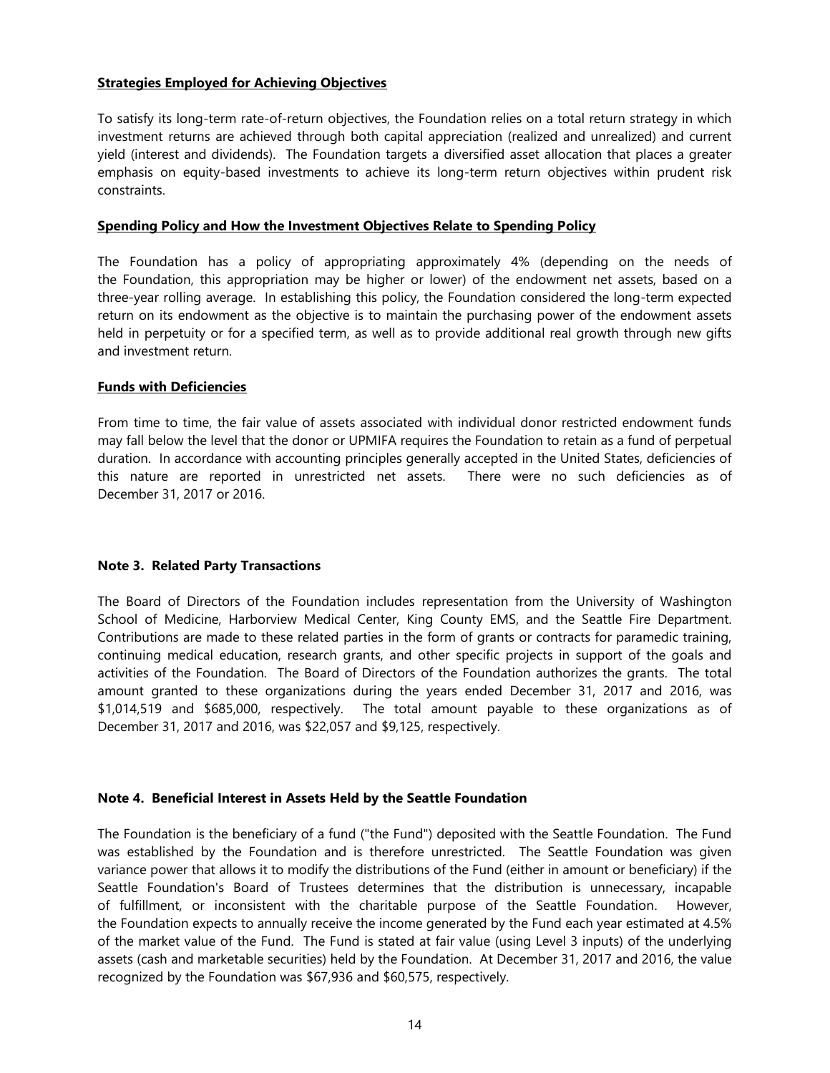## **Strategies Employed for Achieving Objectives**

To satisfy its long-term rate-of-return objectives, the Foundation relies on a total return strategy in which investment returns are achieved through both capital appreciation (realized and unrealized) and current yield (interest and dividends). The Foundation targets a diversified asset allocation that places a greater emphasis on equity-based investments to achieve its long-term return objectives within prudent risk constraints.

### **Spending Policy and How the Investment Objectives Relate to Spending Policy**

The Foundation has a policy of appropriating approximately 4% (depending on the needs of the Foundation, this appropriation may be higher or lower) of the endowment net assets, based on a three-year rolling average. In establishing this policy, the Foundation considered the long-term expected return on its endowment as the objective is to maintain the purchasing power of the endowment assets held in perpetuity or for a specified term, as well as to provide additional real growth through new gifts and investment return.

## **Funds with Deficiencies**

From time to time, the fair value of assets associated with individual donor restricted endowment funds may fall below the level that the donor or UPMIFA requires the Foundation to retain as a fund of perpetual duration. In accordance with accounting principles generally accepted in the United States, deficiencies of this nature are reported in unrestricted net assets. There were no such deficiencies as of December 31, 2017 or 2016.

## **Note 3. Related Party Transactions**

The Board of Directors of the Foundation includes representation from the University of Washington School of Medicine, Harborview Medical Center, King County EMS, and the Seattle Fire Department. Contributions are made to these related parties in the form of grants or contracts for paramedic training, continuing medical education, research grants, and other specific projects in support of the goals and activities of the Foundation. The Board of Directors of the Foundation authorizes the grants. The total amount granted to these organizations during the years ended December 31, 2017 and 2016, was \$1,014,519 and \$685,000, respectively. The total amount payable to these organizations as of December 31, 2017 and 2016, was \$22,057 and \$9,125, respectively.

## **Note 4. Beneficial Interest in Assets Held by the Seattle Foundation**

The Foundation is the beneficiary of a fund ("the Fund") deposited with the Seattle Foundation. The Fund was established by the Foundation and is therefore unrestricted. The Seattle Foundation was given variance power that allows it to modify the distributions of the Fund (either in amount or beneficiary) if the Seattle Foundation's Board of Trustees determines that the distribution is unnecessary, incapable of fulfillment, or inconsistent with the charitable purpose of the Seattle Foundation. However, the Foundation expects to annually receive the income generated by the Fund each year estimated at 4.5% of the market value of the Fund. The Fund is stated at fair value (using Level 3 inputs) of the underlying assets (cash and marketable securities) held by the Foundation. At December 31, 2017 and 2016, the value recognized by the Foundation was \$67,936 and \$60,575, respectively.